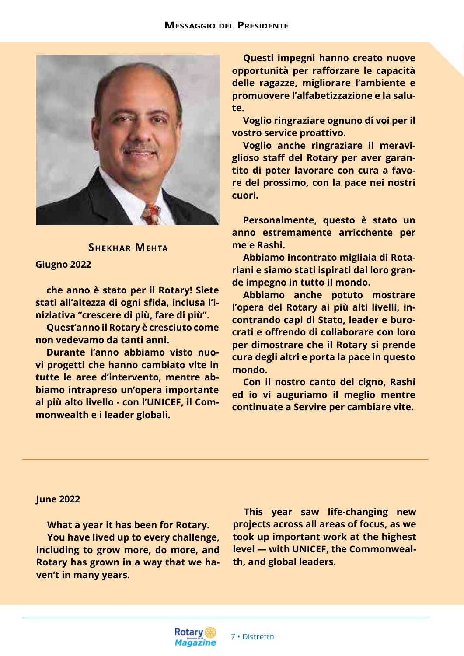

## **Shekhar Mehta**

## **Giugno 2022**

**che anno è stato per il Rotary! Siete stati all'altezza di ogni sfida, inclusa l'iniziativa "crescere di più, fare di più".** 

**Quest'anno il Rotary è cresciuto come non vedevamo da tanti anni.** 

**Durante l'anno abbiamo visto nuovi progetti che hanno cambiato vite in tutte le aree d'intervento, mentre abbiamo intrapreso un'opera importante al più alto livello - con l'UNICEF, il Commonwealth e i leader globali.** 

**Questi impegni hanno creato nuove opportunità per rafforzare le capacità delle ragazze, migliorare l'ambiente e promuovere l'alfabetizzazione e la salute.** 

**Voglio ringraziare ognuno di voi per il vostro service proattivo.** 

**Voglio anche ringraziare il meraviglioso staff del Rotary per aver garantito di poter lavorare con cura a favore del prossimo, con la pace nei nostri cuori.** 

**Personalmente, questo è stato un anno estremamente arricchente per me e Rashi.** 

**Abbiamo incontrato migliaia di Rotariani e siamo stati ispirati dal loro grande impegno in tutto il mondo.** 

**Abbiamo anche potuto mostrare l'opera del Rotary ai più alti livelli, incontrando capi di Stato, leader e burocrati e offrendo di collaborare con loro per dimostrare che il Rotary si prende cura degli altri e porta la pace in questo mondo.** 

**Con il nostro canto del cigno, Rashi ed io vi auguriamo il meglio mentre continuate a Servire per cambiare vite.**

## **June 2022**

**What a year it has been for Rotary. You have lived up to every challenge, including to grow more, do more, and Rotary has grown in a way that we haven't in many years.** 

**This year saw life-changing new projects across all areas of focus, as we took up important work at the highest level — with UNICEF, the Commonwealth, and global leaders.**